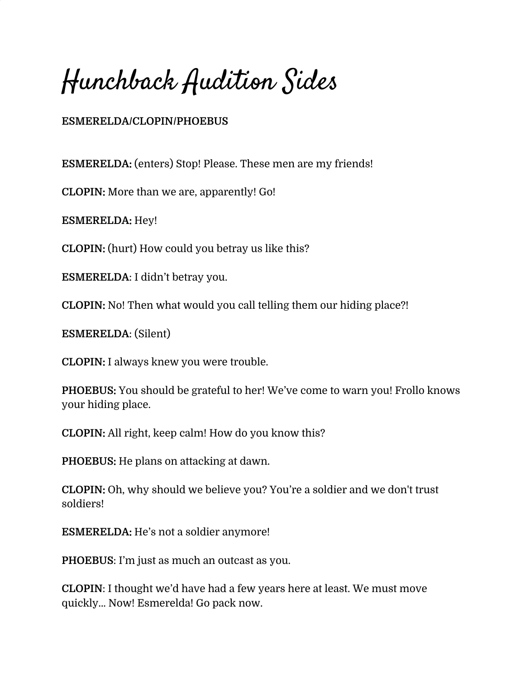Hunchback Audition Sides

## **ESMERELDA/CLOPIN/PHOEBUS**

**ESMERELDA:** (enters) Stop! Please. These men are my friends!

**CLOPIN:** More than we are, apparently! Go!

**ESMERELDA:** Hey!

**CLOPIN:** (hurt) How could you betray us like this?

**ESMERELDA**: I didn't betray you.

**CLOPIN:** No! Then what would you call telling them our hiding place?!

**ESMERELDA**: (Silent)

**CLOPIN:** I always knew you were trouble.

**PHOEBUS:** You should be grateful to her! We've come to warn you! Frollo knows your hiding place.

**CLOPIN:** All right, keep calm! How do you know this?

**PHOEBUS:** He plans on attacking at dawn.

**CLOPIN:** Oh, why should we believe you? You're a soldier and we don't trust soldiers!

**ESMERELDA:** He's not a soldier anymore!

**PHOEBUS**: I'm just as much an outcast as you.

**CLOPIN**: I thought we'd have had a few years here at least. We must move quickly… Now! Esmerelda! Go pack now.